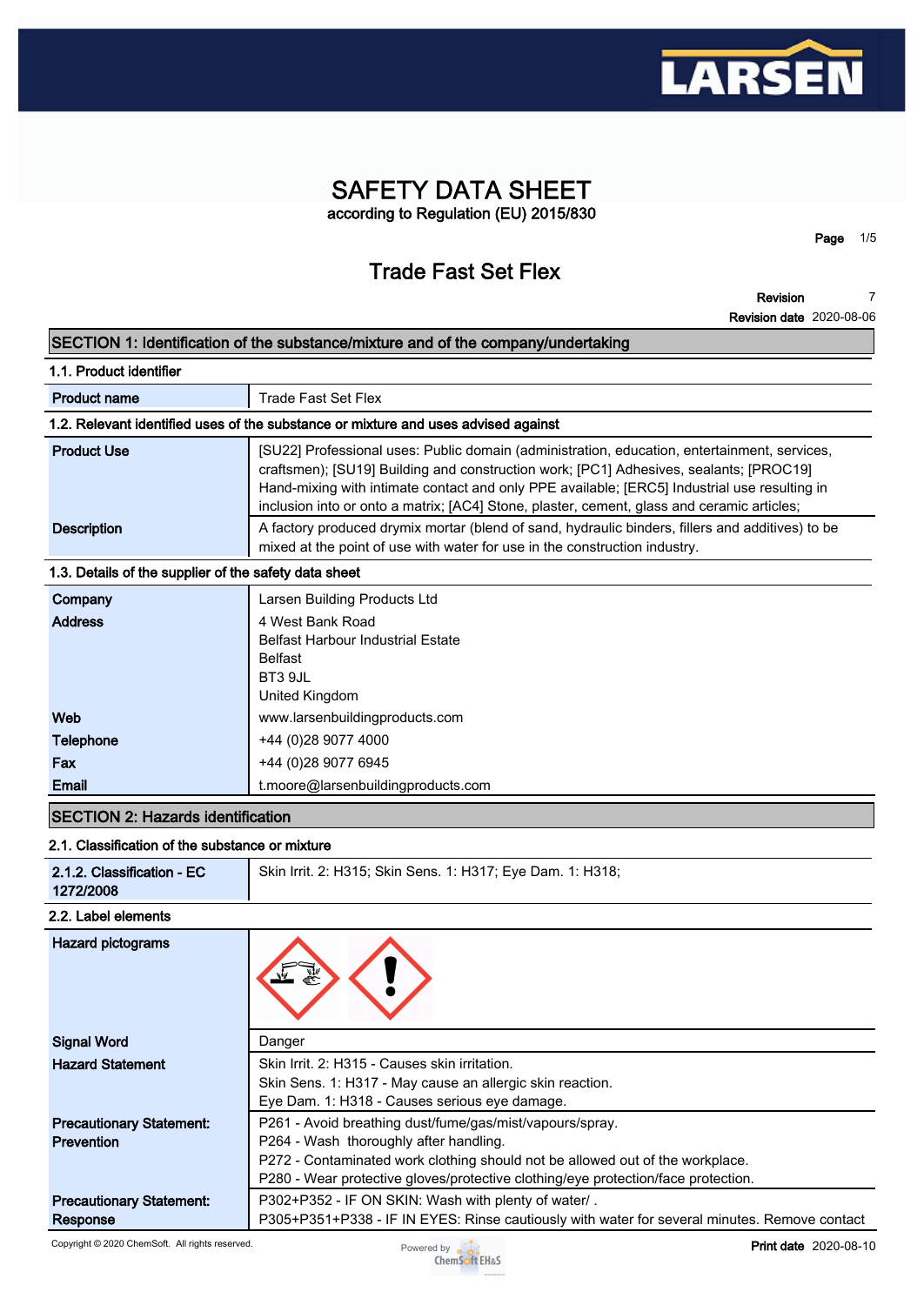

## **SAFETY DATA SHEET according to Regulation (EU) 2015/830**

# **Trade Fast Set Flex**

**Revision**

**Page 1/5**

**7**

|                                                       | <b>Revision date</b> 2020-08-06                                                                                                                                                                                                                                                                                                                                                      |
|-------------------------------------------------------|--------------------------------------------------------------------------------------------------------------------------------------------------------------------------------------------------------------------------------------------------------------------------------------------------------------------------------------------------------------------------------------|
|                                                       | SECTION 1: Identification of the substance/mixture and of the company/undertaking                                                                                                                                                                                                                                                                                                    |
| 1.1. Product identifier                               |                                                                                                                                                                                                                                                                                                                                                                                      |
| <b>Product name</b>                                   | <b>Trade Fast Set Flex</b>                                                                                                                                                                                                                                                                                                                                                           |
|                                                       | 1.2. Relevant identified uses of the substance or mixture and uses advised against                                                                                                                                                                                                                                                                                                   |
| <b>Product Use</b>                                    | [SU22] Professional uses: Public domain (administration, education, entertainment, services,<br>craftsmen); [SU19] Building and construction work; [PC1] Adhesives, sealants; [PROC19]<br>Hand-mixing with intimate contact and only PPE available; [ERC5] Industrial use resulting in<br>inclusion into or onto a matrix; [AC4] Stone, plaster, cement, glass and ceramic articles; |
| <b>Description</b>                                    | A factory produced drymix mortar (blend of sand, hydraulic binders, fillers and additives) to be<br>mixed at the point of use with water for use in the construction industry.                                                                                                                                                                                                       |
| 1.3. Details of the supplier of the safety data sheet |                                                                                                                                                                                                                                                                                                                                                                                      |
| Company<br><b>Address</b>                             | Larsen Building Products Ltd<br>4 West Bank Road<br><b>Belfast Harbour Industrial Estate</b><br><b>Belfast</b><br>BT3 9JL<br>United Kingdom                                                                                                                                                                                                                                          |
| Web                                                   | www.larsenbuildingproducts.com                                                                                                                                                                                                                                                                                                                                                       |
| <b>Telephone</b><br>Fax<br><b>Email</b>               | +44 (0) 28 9077 4000<br>+44 (0)28 9077 6945<br>t.moore@larsenbuildingproducts.com                                                                                                                                                                                                                                                                                                    |
| <b>SECTION 2: Hazards identification</b>              |                                                                                                                                                                                                                                                                                                                                                                                      |
| 2.1. Classification of the substance or mixture       |                                                                                                                                                                                                                                                                                                                                                                                      |
|                                                       | $\alpha$ $\beta$ $\beta$ $\alpha$ $\beta$ $\beta$ $\beta$ $\beta$ $\beta$<br>$\overline{1}$ $\overline{1}$ $\overline{2}$ $\overline{3}$ $\overline{4}$ $\overline{2}$                                                                                                                                                                                                               |

| 2.1.2. Classification - EC<br>1272/2008 | Skin Irrit. 2: H315; Skin Sens. 1: H317; Eye Dam. 1: H318; |
|-----------------------------------------|------------------------------------------------------------|
| 2.2. Label elements                     |                                                            |
| Hazard pictograms                       |                                                            |

| <b>Signal Word</b>              | Danger                                                                                       |
|---------------------------------|----------------------------------------------------------------------------------------------|
| <b>Hazard Statement</b>         | Skin Irrit. 2: H315 - Causes skin irritation.                                                |
|                                 | Skin Sens. 1: H317 - May cause an allergic skin reaction.                                    |
|                                 | Eye Dam. 1: H318 - Causes serious eye damage.                                                |
| <b>Precautionary Statement:</b> | P261 - Avoid breathing dust/fume/gas/mist/vapours/spray.                                     |
| Prevention                      | P264 - Wash thoroughly after handling.                                                       |
|                                 | P272 - Contaminated work clothing should not be allowed out of the workplace.                |
|                                 | P280 - Wear protective gloves/protective clothing/eye protection/face protection.            |
| <b>Precautionary Statement:</b> | P302+P352 - IF ON SKIN: Wash with plenty of water/.                                          |
| Response                        | P305+P351+P338 - IF IN EYES: Rinse cautiously with water for several minutes. Remove contact |

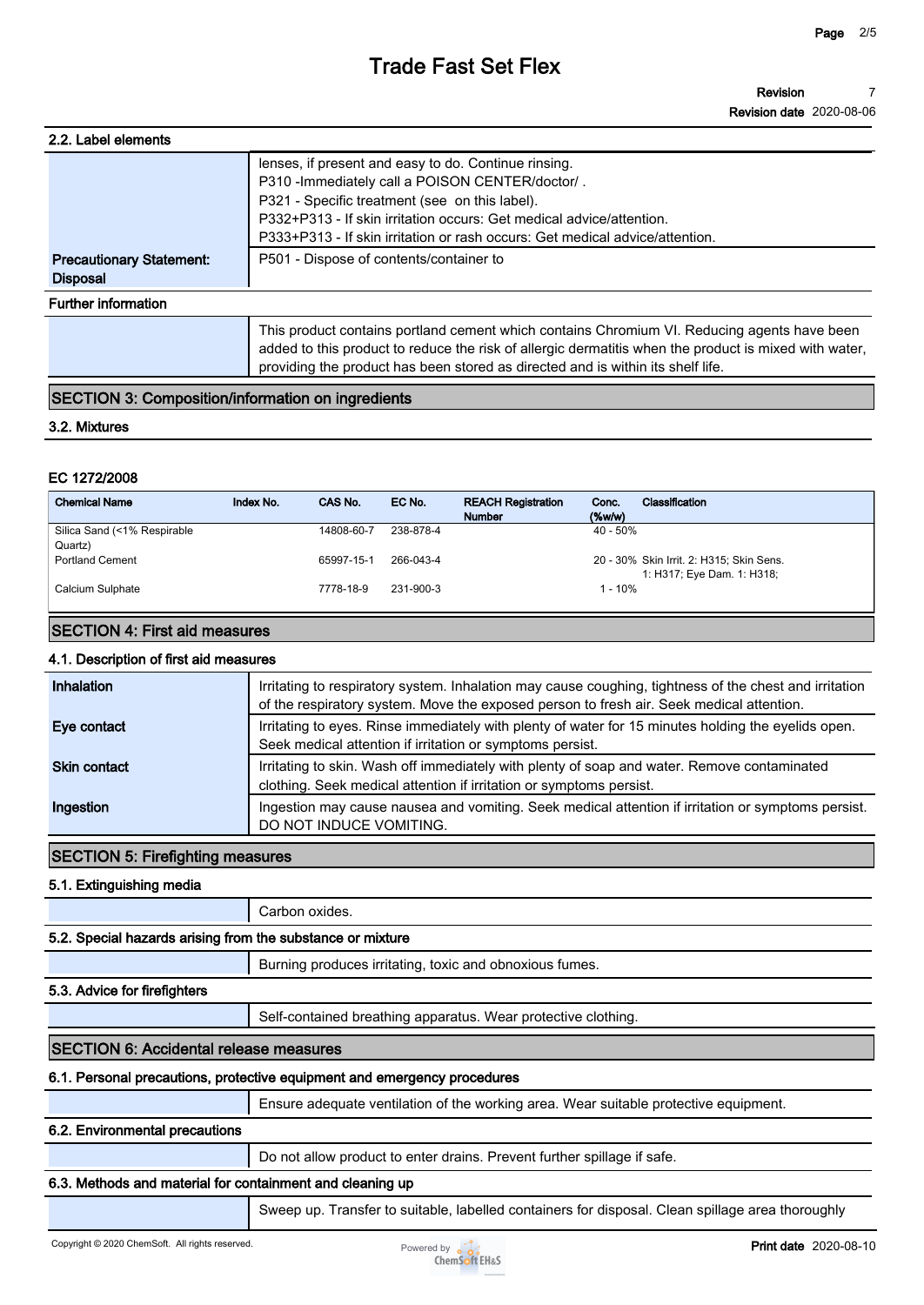| 2.2. Label elements             |                                                                                                                                                                                                                                                                                         |
|---------------------------------|-----------------------------------------------------------------------------------------------------------------------------------------------------------------------------------------------------------------------------------------------------------------------------------------|
|                                 | lenses, if present and easy to do. Continue rinsing.<br>P310 - Immediately call a POISON CENTER/doctor/.                                                                                                                                                                                |
|                                 | P321 - Specific treatment (see on this label).                                                                                                                                                                                                                                          |
|                                 | P332+P313 - If skin irritation occurs: Get medical advice/attention.                                                                                                                                                                                                                    |
|                                 | P333+P313 - If skin irritation or rash occurs: Get medical advice/attention.                                                                                                                                                                                                            |
| <b>Precautionary Statement:</b> | P501 - Dispose of contents/container to                                                                                                                                                                                                                                                 |
| <b>Disposal</b>                 |                                                                                                                                                                                                                                                                                         |
| <b>Further information</b>      |                                                                                                                                                                                                                                                                                         |
|                                 | This product contains portland cement which contains Chromium VI. Reducing agents have been<br>added to this product to reduce the risk of allergic dermatitis when the product is mixed with water,<br>providing the product has been stored as directed and is within its shelf life. |

## **SECTION 3: Composition/information on ingredients**

#### **3.2. Mixtures**

## **EC 1272/2008**

| <b>Chemical Name</b>                   | Index No. | CAS No.    | EC No.    | <b>REACH Registration</b><br><b>Number</b> | Classification<br>Conc.<br>$(\%w/w)$     |
|----------------------------------------|-----------|------------|-----------|--------------------------------------------|------------------------------------------|
| Silica Sand (<1% Respirable<br>Quartz) |           | 14808-60-7 | 238-878-4 |                                            | $40 - 50\%$                              |
| <b>Portland Cement</b>                 |           | 65997-15-1 | 266-043-4 |                                            | 20 - 30% Skin Irrit. 2: H315; Skin Sens. |
| Calcium Sulphate                       |           | 7778-18-9  | 231-900-3 |                                            | 1: H317; Eye Dam. 1: H318;<br>1 - 10%    |

## **SECTION 4: First aid measures**

## **4.1. Description of first aid measures**

| Inhalation          | Irritating to respiratory system. Inhalation may cause coughing, tightness of the chest and irritation<br>of the respiratory system. Move the exposed person to fresh air. Seek medical attention. |
|---------------------|----------------------------------------------------------------------------------------------------------------------------------------------------------------------------------------------------|
| Eye contact         | Irritating to eyes. Rinse immediately with plenty of water for 15 minutes holding the eyelids open.<br>Seek medical attention if irritation or symptoms persist.                                   |
| <b>Skin contact</b> | Irritating to skin. Wash off immediately with plenty of soap and water. Remove contaminated<br>clothing. Seek medical attention if irritation or symptoms persist.                                 |
| Ingestion           | Ingestion may cause nausea and vomiting. Seek medical attention if irritation or symptoms persist.<br>DO NOT INDUCE VOMITING.                                                                      |

## **SECTION 5: Firefighting measures**

**5.1. Extinguishing media**

|                                                            | Carbon oxides.                                                |  |
|------------------------------------------------------------|---------------------------------------------------------------|--|
| 5.2. Special hazards arising from the substance or mixture |                                                               |  |
|                                                            | Burning produces irritating, toxic and obnoxious fumes.       |  |
| 5.3. Advice for firefighters                               |                                                               |  |
|                                                            | Self-contained breathing apparatus. Wear protective clothing. |  |
|                                                            |                                                               |  |

#### **SECTION 6: Accidental release measures**

#### **6.1. Personal precautions, protective equipment and emergency procedures**

**Ensure adequate ventilation of the working area. Wear suitable protective equipment.**

#### **6.2. Environmental precautions**

**Do not allow product to enter drains. Prevent further spillage if safe.**

## **6.3. Methods and material for containment and cleaning up**

**Sweep up. Transfer to suitable, labelled containers for disposal. Clean spillage area thoroughly** 

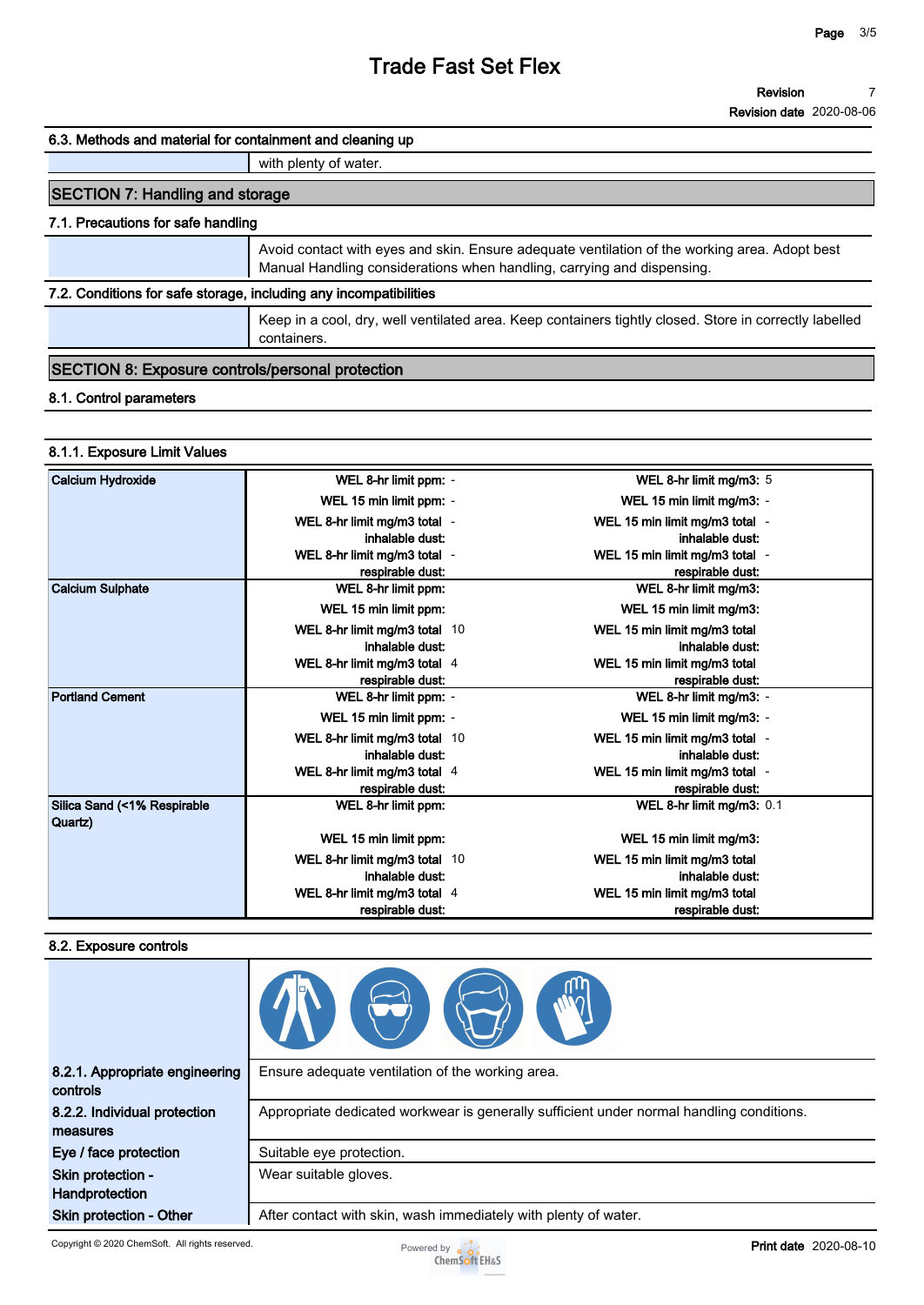**Revision Revision date 2020-08-06 7**

#### **6.3. Methods and material for containment and cleaning up**

**with plenty of water.**

## **SECTION 7: Handling and storage**

#### **7.1. Precautions for safe handling**

**Avoid contact with eyes and skin. Ensure adequate ventilation of the working area. Adopt best Manual Handling considerations when handling, carrying and dispensing.**

### **7.2. Conditions for safe storage, including any incompatibilities**

**Keep in a cool, dry, well ventilated area. Keep containers tightly closed. Store in correctly labelled containers.**

#### **SECTION 8: Exposure controls/personal protection**

#### **8.1. Control parameters**

#### **8.1.1. Exposure Limit Values**

| Calcium Hydroxide                      | WEL 8-hr limit ppm: -         | WEL 8-hr limit mg/m3: 5        |
|----------------------------------------|-------------------------------|--------------------------------|
|                                        | WEL 15 min limit ppm: -       | WEL 15 min limit mg/m3: -      |
|                                        | WEL 8-hr limit mg/m3 total -  | WEL 15 min limit mg/m3 total - |
|                                        | inhalable dust:               | inhalable dust:                |
|                                        | WEL 8-hr limit mg/m3 total -  | WEL 15 min limit mg/m3 total - |
|                                        | respirable dust:              | respirable dust:               |
| <b>Calcium Sulphate</b>                | WEL 8-hr limit ppm:           | WEL 8-hr limit mg/m3:          |
|                                        | WEL 15 min limit ppm:         | WEL 15 min limit mg/m3:        |
|                                        | WEL 8-hr limit mg/m3 total 10 | WEL 15 min limit mg/m3 total   |
|                                        | inhalable dust:               | inhalable dust:                |
|                                        | WEL 8-hr limit mg/m3 total 4  | WEL 15 min limit mg/m3 total   |
|                                        | respirable dust:              | respirable dust:               |
| <b>Portland Cement</b>                 | WEL 8-hr limit ppm: -         | WEL 8-hr limit mg/m3: -        |
|                                        | WEL 15 min limit ppm: -       | WEL 15 min limit mg/m3: -      |
|                                        | WEL 8-hr limit mg/m3 total 10 | WEL 15 min limit mg/m3 total - |
|                                        | inhalable dust:               | inhalable dust:                |
|                                        | WEL 8-hr limit mg/m3 total 4  | WEL 15 min limit mg/m3 total - |
|                                        | respirable dust:              | respirable dust:               |
| Silica Sand (<1% Respirable<br>Quartz) | WEL 8-hr limit ppm:           | WEL 8-hr limit mg/m3: 0.1      |
|                                        | WEL 15 min limit ppm:         | WEL 15 min limit mg/m3:        |
|                                        | WEL 8-hr limit mg/m3 total 10 | WEL 15 min limit mg/m3 total   |
|                                        | inhalable dust:               | inhalable dust:                |
|                                        | WEL 8-hr limit mg/m3 total 4  | WEL 15 min limit mg/m3 total   |
|                                        | respirable dust:              | respirable dust:               |

#### **8.2. Exposure controls**

| 8.2.1. Appropriate engineering<br>controls | Ensure adequate ventilation of the working area.                                         |
|--------------------------------------------|------------------------------------------------------------------------------------------|
| 8.2.2. Individual protection<br>measures   | Appropriate dedicated workwear is generally sufficient under normal handling conditions. |
| Eye / face protection                      | Suitable eye protection.                                                                 |
| Skin protection -<br>Handprotection        | Wear suitable gloves.                                                                    |
| <b>Skin protection - Other</b>             | After contact with skin, wash immediately with plenty of water.                          |

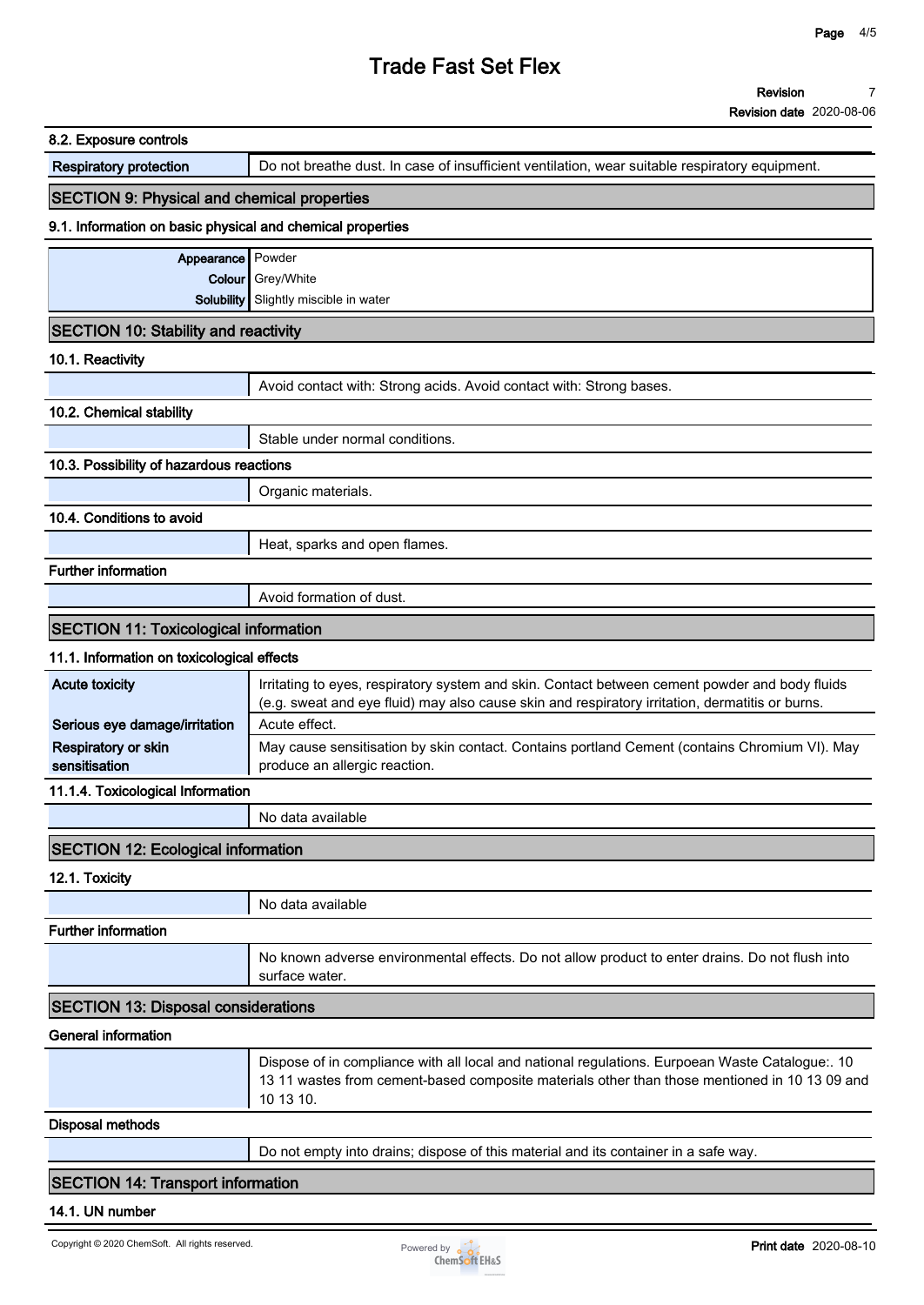| Do not breathe dust. In case of insufficient ventilation, wear suitable respiratory equipment.<br><b>SECTION 9: Physical and chemical properties</b><br>9.1. Information on basic physical and chemical properties<br>Appearance Powder<br>Colour Grey/White<br><b>Solubility</b> Slightly miscible in water<br><b>SECTION 10: Stability and reactivity</b><br>Avoid contact with: Strong acids. Avoid contact with: Strong bases.<br>Stable under normal conditions.<br>10.3. Possibility of hazardous reactions<br>Organic materials.<br>Heat, sparks and open flames.<br>Avoid formation of dust.<br><b>SECTION 11: Toxicological information</b><br>11.1. Information on toxicological effects<br>Irritating to eyes, respiratory system and skin. Contact between cement powder and body fluids<br>(e.g. sweat and eye fluid) may also cause skin and respiratory irritation, dermatitis or burns.<br>Acute effect.<br>produce an allergic reaction.<br>11.1.4. Toxicological Information<br>No data available<br><b>SECTION 12: Ecological information</b><br>No data available<br>No known adverse environmental effects. Do not allow product to enter drains. Do not flush into<br>surface water.<br><b>SECTION 13: Disposal considerations</b><br>Dispose of in compliance with all local and national regulations. Eurpoean Waste Catalogue:. 10<br>10 13 10.<br>Do not empty into drains; dispose of this material and its container in a safe way.<br><b>SECTION 14: Transport information</b> |                                      | <b>Revision date</b> 2020-08-06                                                               |
|-------------------------------------------------------------------------------------------------------------------------------------------------------------------------------------------------------------------------------------------------------------------------------------------------------------------------------------------------------------------------------------------------------------------------------------------------------------------------------------------------------------------------------------------------------------------------------------------------------------------------------------------------------------------------------------------------------------------------------------------------------------------------------------------------------------------------------------------------------------------------------------------------------------------------------------------------------------------------------------------------------------------------------------------------------------------------------------------------------------------------------------------------------------------------------------------------------------------------------------------------------------------------------------------------------------------------------------------------------------------------------------------------------------------------------------------------------------------------------------------------------------|--------------------------------------|-----------------------------------------------------------------------------------------------|
|                                                                                                                                                                                                                                                                                                                                                                                                                                                                                                                                                                                                                                                                                                                                                                                                                                                                                                                                                                                                                                                                                                                                                                                                                                                                                                                                                                                                                                                                                                             | 8.2. Exposure controls               |                                                                                               |
|                                                                                                                                                                                                                                                                                                                                                                                                                                                                                                                                                                                                                                                                                                                                                                                                                                                                                                                                                                                                                                                                                                                                                                                                                                                                                                                                                                                                                                                                                                             | <b>Respiratory protection</b>        |                                                                                               |
|                                                                                                                                                                                                                                                                                                                                                                                                                                                                                                                                                                                                                                                                                                                                                                                                                                                                                                                                                                                                                                                                                                                                                                                                                                                                                                                                                                                                                                                                                                             |                                      |                                                                                               |
|                                                                                                                                                                                                                                                                                                                                                                                                                                                                                                                                                                                                                                                                                                                                                                                                                                                                                                                                                                                                                                                                                                                                                                                                                                                                                                                                                                                                                                                                                                             |                                      |                                                                                               |
|                                                                                                                                                                                                                                                                                                                                                                                                                                                                                                                                                                                                                                                                                                                                                                                                                                                                                                                                                                                                                                                                                                                                                                                                                                                                                                                                                                                                                                                                                                             |                                      |                                                                                               |
|                                                                                                                                                                                                                                                                                                                                                                                                                                                                                                                                                                                                                                                                                                                                                                                                                                                                                                                                                                                                                                                                                                                                                                                                                                                                                                                                                                                                                                                                                                             |                                      |                                                                                               |
|                                                                                                                                                                                                                                                                                                                                                                                                                                                                                                                                                                                                                                                                                                                                                                                                                                                                                                                                                                                                                                                                                                                                                                                                                                                                                                                                                                                                                                                                                                             |                                      |                                                                                               |
|                                                                                                                                                                                                                                                                                                                                                                                                                                                                                                                                                                                                                                                                                                                                                                                                                                                                                                                                                                                                                                                                                                                                                                                                                                                                                                                                                                                                                                                                                                             |                                      |                                                                                               |
|                                                                                                                                                                                                                                                                                                                                                                                                                                                                                                                                                                                                                                                                                                                                                                                                                                                                                                                                                                                                                                                                                                                                                                                                                                                                                                                                                                                                                                                                                                             | 10.1. Reactivity                     |                                                                                               |
|                                                                                                                                                                                                                                                                                                                                                                                                                                                                                                                                                                                                                                                                                                                                                                                                                                                                                                                                                                                                                                                                                                                                                                                                                                                                                                                                                                                                                                                                                                             |                                      |                                                                                               |
|                                                                                                                                                                                                                                                                                                                                                                                                                                                                                                                                                                                                                                                                                                                                                                                                                                                                                                                                                                                                                                                                                                                                                                                                                                                                                                                                                                                                                                                                                                             | 10.2. Chemical stability             |                                                                                               |
|                                                                                                                                                                                                                                                                                                                                                                                                                                                                                                                                                                                                                                                                                                                                                                                                                                                                                                                                                                                                                                                                                                                                                                                                                                                                                                                                                                                                                                                                                                             |                                      |                                                                                               |
|                                                                                                                                                                                                                                                                                                                                                                                                                                                                                                                                                                                                                                                                                                                                                                                                                                                                                                                                                                                                                                                                                                                                                                                                                                                                                                                                                                                                                                                                                                             |                                      |                                                                                               |
|                                                                                                                                                                                                                                                                                                                                                                                                                                                                                                                                                                                                                                                                                                                                                                                                                                                                                                                                                                                                                                                                                                                                                                                                                                                                                                                                                                                                                                                                                                             |                                      |                                                                                               |
|                                                                                                                                                                                                                                                                                                                                                                                                                                                                                                                                                                                                                                                                                                                                                                                                                                                                                                                                                                                                                                                                                                                                                                                                                                                                                                                                                                                                                                                                                                             | 10.4. Conditions to avoid            |                                                                                               |
|                                                                                                                                                                                                                                                                                                                                                                                                                                                                                                                                                                                                                                                                                                                                                                                                                                                                                                                                                                                                                                                                                                                                                                                                                                                                                                                                                                                                                                                                                                             |                                      |                                                                                               |
|                                                                                                                                                                                                                                                                                                                                                                                                                                                                                                                                                                                                                                                                                                                                                                                                                                                                                                                                                                                                                                                                                                                                                                                                                                                                                                                                                                                                                                                                                                             | <b>Further information</b>           |                                                                                               |
|                                                                                                                                                                                                                                                                                                                                                                                                                                                                                                                                                                                                                                                                                                                                                                                                                                                                                                                                                                                                                                                                                                                                                                                                                                                                                                                                                                                                                                                                                                             |                                      |                                                                                               |
|                                                                                                                                                                                                                                                                                                                                                                                                                                                                                                                                                                                                                                                                                                                                                                                                                                                                                                                                                                                                                                                                                                                                                                                                                                                                                                                                                                                                                                                                                                             |                                      |                                                                                               |
|                                                                                                                                                                                                                                                                                                                                                                                                                                                                                                                                                                                                                                                                                                                                                                                                                                                                                                                                                                                                                                                                                                                                                                                                                                                                                                                                                                                                                                                                                                             |                                      |                                                                                               |
|                                                                                                                                                                                                                                                                                                                                                                                                                                                                                                                                                                                                                                                                                                                                                                                                                                                                                                                                                                                                                                                                                                                                                                                                                                                                                                                                                                                                                                                                                                             | <b>Acute toxicity</b>                |                                                                                               |
|                                                                                                                                                                                                                                                                                                                                                                                                                                                                                                                                                                                                                                                                                                                                                                                                                                                                                                                                                                                                                                                                                                                                                                                                                                                                                                                                                                                                                                                                                                             | Serious eye damage/irritation        |                                                                                               |
|                                                                                                                                                                                                                                                                                                                                                                                                                                                                                                                                                                                                                                                                                                                                                                                                                                                                                                                                                                                                                                                                                                                                                                                                                                                                                                                                                                                                                                                                                                             | Respiratory or skin<br>sensitisation | May cause sensitisation by skin contact. Contains portland Cement (contains Chromium VI). May |
|                                                                                                                                                                                                                                                                                                                                                                                                                                                                                                                                                                                                                                                                                                                                                                                                                                                                                                                                                                                                                                                                                                                                                                                                                                                                                                                                                                                                                                                                                                             |                                      |                                                                                               |
|                                                                                                                                                                                                                                                                                                                                                                                                                                                                                                                                                                                                                                                                                                                                                                                                                                                                                                                                                                                                                                                                                                                                                                                                                                                                                                                                                                                                                                                                                                             |                                      |                                                                                               |
|                                                                                                                                                                                                                                                                                                                                                                                                                                                                                                                                                                                                                                                                                                                                                                                                                                                                                                                                                                                                                                                                                                                                                                                                                                                                                                                                                                                                                                                                                                             |                                      |                                                                                               |
|                                                                                                                                                                                                                                                                                                                                                                                                                                                                                                                                                                                                                                                                                                                                                                                                                                                                                                                                                                                                                                                                                                                                                                                                                                                                                                                                                                                                                                                                                                             | 12.1. Toxicity                       |                                                                                               |
|                                                                                                                                                                                                                                                                                                                                                                                                                                                                                                                                                                                                                                                                                                                                                                                                                                                                                                                                                                                                                                                                                                                                                                                                                                                                                                                                                                                                                                                                                                             |                                      |                                                                                               |
|                                                                                                                                                                                                                                                                                                                                                                                                                                                                                                                                                                                                                                                                                                                                                                                                                                                                                                                                                                                                                                                                                                                                                                                                                                                                                                                                                                                                                                                                                                             | <b>Further information</b>           |                                                                                               |
|                                                                                                                                                                                                                                                                                                                                                                                                                                                                                                                                                                                                                                                                                                                                                                                                                                                                                                                                                                                                                                                                                                                                                                                                                                                                                                                                                                                                                                                                                                             |                                      |                                                                                               |
|                                                                                                                                                                                                                                                                                                                                                                                                                                                                                                                                                                                                                                                                                                                                                                                                                                                                                                                                                                                                                                                                                                                                                                                                                                                                                                                                                                                                                                                                                                             |                                      |                                                                                               |
|                                                                                                                                                                                                                                                                                                                                                                                                                                                                                                                                                                                                                                                                                                                                                                                                                                                                                                                                                                                                                                                                                                                                                                                                                                                                                                                                                                                                                                                                                                             | <b>General information</b>           |                                                                                               |
|                                                                                                                                                                                                                                                                                                                                                                                                                                                                                                                                                                                                                                                                                                                                                                                                                                                                                                                                                                                                                                                                                                                                                                                                                                                                                                                                                                                                                                                                                                             |                                      | 13 11 wastes from cement-based composite materials other than those mentioned in 10 13 09 and |
|                                                                                                                                                                                                                                                                                                                                                                                                                                                                                                                                                                                                                                                                                                                                                                                                                                                                                                                                                                                                                                                                                                                                                                                                                                                                                                                                                                                                                                                                                                             | <b>Disposal methods</b>              |                                                                                               |
|                                                                                                                                                                                                                                                                                                                                                                                                                                                                                                                                                                                                                                                                                                                                                                                                                                                                                                                                                                                                                                                                                                                                                                                                                                                                                                                                                                                                                                                                                                             |                                      |                                                                                               |
|                                                                                                                                                                                                                                                                                                                                                                                                                                                                                                                                                                                                                                                                                                                                                                                                                                                                                                                                                                                                                                                                                                                                                                                                                                                                                                                                                                                                                                                                                                             |                                      |                                                                                               |

## **14.1. UN number**